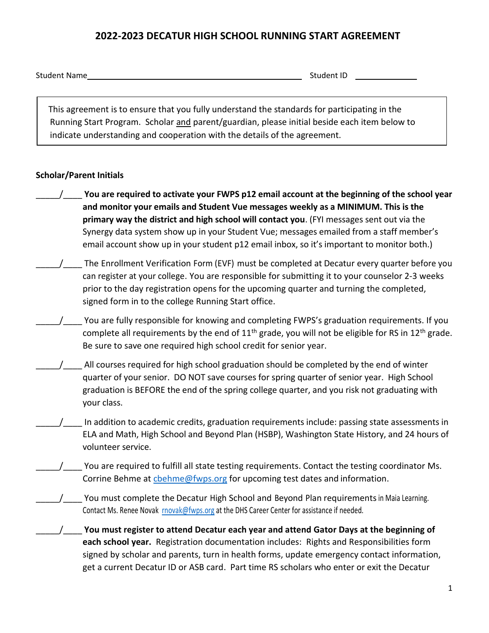## **2022-2023 DECATUR HIGH SCHOOL RUNNING START AGREEMENT**

|  | <b>Student Name</b> |  |
|--|---------------------|--|
|  |                     |  |

Student ID

This agreement is to ensure that you fully understand the standards for participating in the Running Start Program. Scholar and parent/guardian, please initial beside each item below to indicate understanding and cooperation with the details of the agreement.

## **Scholar/Parent Initials**

- You are required to activate your FWPS p12 email account at the beginning of the school year **and monitor your emails and Student Vue messages weekly as a MINIMUM. This is the primary way the district and high school will contact you**. (FYI messages sent out via the Synergy data system show up in your Student Vue; messages emailed from a staff member's email account show up in your student p12 email inbox, so it's important to monitor both.)
- The Enrollment Verification Form (EVF) must be completed at Decatur every quarter before you can register at your college. You are responsible for submitting it to your counselor 2-3 weeks prior to the day registration opens for the upcoming quarter and turning the completed, signed form in to the college Running Start office.
- \_\_\_\_\_/\_\_\_\_ You are fully responsible for knowing and completing FWPS's graduation requirements. If you complete all requirements by the end of  $11<sup>th</sup>$  grade, you will not be eligible for RS in  $12<sup>th</sup>$  grade. Be sure to save one required high school credit for senior year.
- All courses required for high school graduation should be completed by the end of winter quarter of your senior. DO NOT save courses for spring quarter of senior year. High School graduation is BEFORE the end of the spring college quarter, and you risk not graduating with your class.
- In addition to academic credits, graduation requirements include: passing state assessments in ELA and Math, High School and Beyond Plan (HSBP), Washington State History, and 24 hours of volunteer service.
- You are required to fulfill all state testing requirements. Contact the testing coordinator Ms. Corrine Behme at chehme@fwps.org for upcoming test dates and information.
	- You must complete the Decatur High School and Beyond Plan requirements in Maia Learning. Contact Ms. Renee Novak [rnovak@fwps.org](mailto:rnovak@fwps.org) at the DHS Career Center for assistance if needed.
	- \_\_\_\_\_/\_\_\_\_ **You must register to attend Decatur each year and attend Gator Days at the beginning of each school year.** Registration documentation includes: Rights and Responsibilities form signed by scholar and parents, turn in health forms, update emergency contact information, get a current Decatur ID or ASB card. Part time RS scholars who enter or exit the Decatur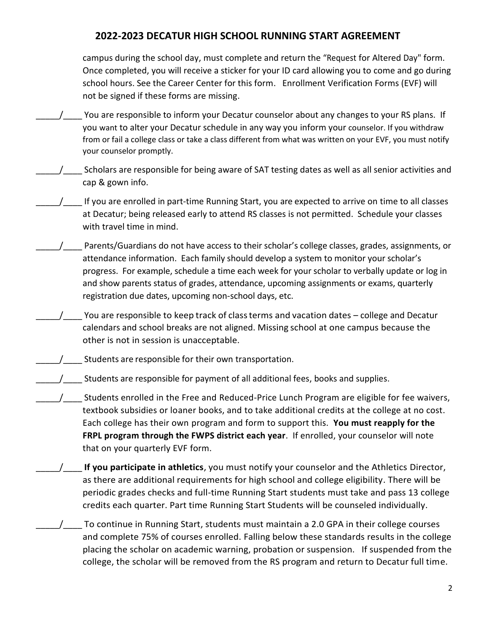## **2022-2023 DECATUR HIGH SCHOOL RUNNING START AGREEMENT**

campus during the school day, must complete and return the "Request for Altered Day" form. Once completed, you will receive a sticker for your ID card allowing you to come and go during school hours. See the Career Center for this form. Enrollment Verification Forms (EVF) will not be signed if these forms are missing.

- You are responsible to inform your Decatur counselor about any changes to your RS plans. If you want to alter your Decatur schedule in any way you inform your counselor. If you withdraw from or fail a college class or take a class different from what was written on your EVF, you must notify your counselor promptly.
- \_\_\_\_\_/\_\_\_\_ Scholars are responsible for being aware of SAT testing dates as well as all senior activities and cap & gown info.
- If you are enrolled in part-time Running Start, you are expected to arrive on time to all classes at Decatur; being released early to attend RS classes is not permitted. Schedule your classes with travel time in mind.
- Parents/Guardians do not have access to their scholar's college classes, grades, assignments, or attendance information. Each family should develop a system to monitor your scholar's progress. For example, schedule a time each week for your scholar to verbally update or log in and show parents status of grades, attendance, upcoming assignments or exams, quarterly registration due dates, upcoming non-school days, etc.
- You are responsible to keep track of class terms and vacation dates college and Decatur calendars and school breaks are not aligned. Missing school at one campus because the other is not in session is unacceptable.
- Students are responsible for their own transportation.
- $\frac{1}{\sqrt{2}}$  Students are responsible for payment of all additional fees, books and supplies.
- \_\_\_\_\_/\_\_\_\_ Students enrolled in the Free and Reduced-Price Lunch Program are eligible for fee waivers, textbook subsidies or loaner books, and to take additional credits at the college at no cost. Each college has their own program and form to support this. **You must reapply for the FRPL program through the FWPS district each year**. If enrolled, your counselor will note that on your quarterly EVF form.
- \_\_\_\_\_/\_\_\_\_ **If you participate in athletics**, you must notify your counselor and the Athletics Director, as there are additional requirements for high school and college eligibility. There will be periodic grades checks and full-time Running Start students must take and pass 13 college credits each quarter. Part time Running Start Students will be counseled individually.
- To continue in Running Start, students must maintain a 2.0 GPA in their college courses and complete 75% of courses enrolled. Falling below these standards results in the college placing the scholar on academic warning, probation or suspension. If suspended from the college, the scholar will be removed from the RS program and return to Decatur full time.